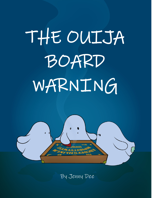## THE OUIJA BOARD WARNING



By Jenny Dee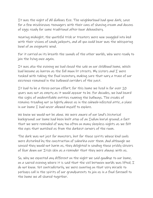It was the night of All Hallows Eve. The neighborhood had gone dark, save for a few mischievous teenagers with their cans of shaving cream and dozens of eggs ready for some traditional after-hour debauchery.

Nearing midnight, the youthful trick or treaters were now snuggled into bed with their visions of candy jackpots, and all you could hear was the whispering howl of an enigmatic wind.

For it carried on its breath the sounds of the other worlds, who were ready to join the living once again.

It was also the evening we had closed the sale on our childhood home, which had become as barren as the full moon lit streets. My sisters and  $I$  were tasked with taking the final inventory, making sure that nary a trace of our existence remained in the hallowed corridors of the past.

It had to be a three-person effort; for this home we lived in for over 20 years was not as empty as it would appear to be. For decades, we had heard the sighs of unidentifiable entities roaming the hallways. The creaks of remains treading not so lightly above us in the cobweb-infested attic, a place in our home I had never allowed myself to explore.

We knew we would not be alone. We were aware of our land's historical background: our home had been built atop of an Indian burial ground; a fact that we were reminded of way too often on many sleepless nights as we felt the eyes that watched us from the darkest corners of the room.

The dark was not just for monsters, but for those spirits whose kind souls were disturbed by the construction of suburbia over them. And although we sensed they would not harm us, they delighted in sending those prickly shivers of fear down our Irish skin as a reminder that they were always with us.

So, why we expected any different on the night we said goodbye to our home, on a sacred evening where it is said that the veil between worlds was lifted, I do not know. Yet contradictorily, we were counting on that very miracle to perhaps call in the spirits of our grandparents to join us in a final farewell to the home we all shared together.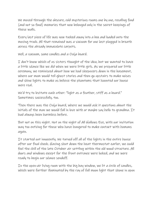We moved through the obscure, cold mysterious rooms one by one, recalling fond (and not so fond) memories that now belonged only in the secret keepings of these walls.

Every last piece of life was now tucked away into a box and loaded onto the moving truck. All that remained was a vacuum for one last plugged in breath across the already immaculate carpets.

Well, a vacuum, some candles and a Ouija board.

I don't know which of us sisters thought of the idea, but we wanted to have a little séance like we did when we were little girls. As we prepared our little ceremony, we reminisced about how we had sleepovers down in the basement, where our mom would tell ghost stories and then go upstairs to make noises and shine lights to make us believe the phantoms that haunted our house were real.

We'd try to levitate each other: "light as a feather, stiff as a board." Sometimes successfully, too.

Then there was the Ouija board, where we would ask it questions about the initials of the man we would fall in love with or maybe say hello to grandma. It had always been harmless before.

But not on this night. Not on the night of All Hallows Eve, with our invitation way too enticing for those who have hungered to make contact with humans again.

It started out innocently. We turned off all of the lights in the entire house after our final check. Having shut down the heat thermostat earlier, we could feel the chill of the late October air settling within the old wood structure. All doors and windows except for the front entrance were locked, and we were ready to begin our séance sendoff.

In the open-air living room with the big bay window, we lit a circle of candles, which were further illuminated by the ray of full moon light that shone in upon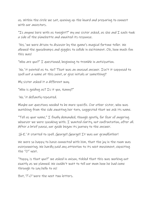us. Within the circle we sat, opening up the board and preparing to connect with our ancestors.

"Is anyone here with us tonight?" my one sister asked, as she and  $I$  each took a side of the planchette and awaited its response.

'Yes,' we were driven to discover by the game's magical fortune teller. We allowed the goosebumps and giggles to collide in excitement. Oh, how much fun this was!

"Who are you?"  $\mathcal I$  questioned, beginning to tremble in anticipation.

'No,' it pointed us to. No? That was an unusual answer. Isn't it supposed to spell out a name at this point, or give initials or something?

My sister asked it a different way.

"Who is guiding us? Is it you, Nanny?"

'No,' it defiantly repeated.

Maybe our questions needed to be more specific. Our other sister, who was watching from the side awaiting her turn, suggested that we ask its name.

"Tell us your name," I finally demanded, though gently, for fear of angering whoever we were speaking with. I wanted clarity, not confrontation, after all. After a brief pause, our guide began its journey to the answer.

'G-E,' it started to spell. George!! George!! It was our grandfather!

We were so happy to have connected with him, that the joy in the room was overpowering. We hardly paid any attention to its next movement, expecting the "O" next.

"Poppy, is that you?" we asked in unison, tickled that this was working out exactly as we planned. We couldn't wait to tell our mom how he had come through to say hello to us!

But,'T-O' were the next two letters.